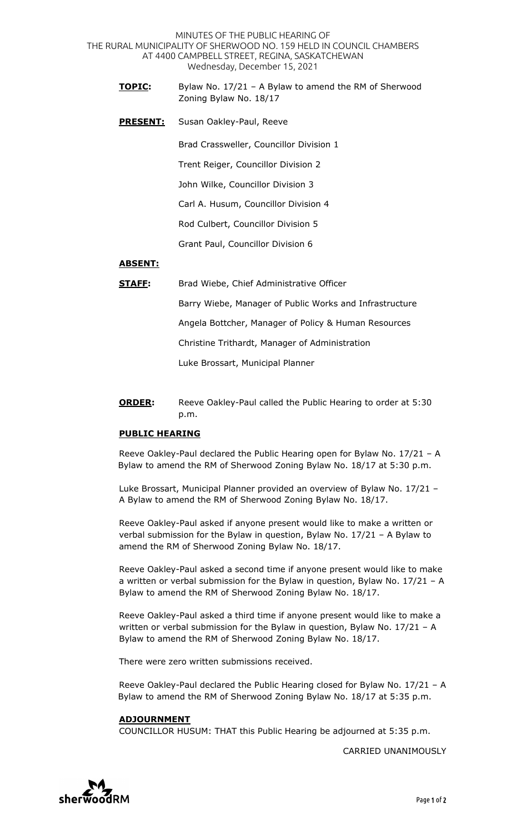MINUTES OF THE PUBLIC HEARING OF THE RURAL MUNICIPALITY OF SHERWOOD NO. 159 HELD IN COUNCIL CHAMBERS AT 4400 CAMPBELL STREET, REGINA, SASKATCHEWAN Wednesday, December 15, 2021

- **TOPIC:** Bylaw No. 17/21 A Bylaw to amend the RM of Sherwood Zoning Bylaw No. 18/17
- **PRESENT:** Susan Oakley-Paul, Reeve

Brad Crassweller, Councillor Division 1

Trent Reiger, Councillor Division 2

John Wilke, Councillor Division 3

Carl A. Husum, Councillor Division 4

Rod Culbert, Councillor Division 5

Grant Paul, Councillor Division 6

## **ABSENT:**

**STAFF:** Brad Wiebe, Chief Administrative Officer

Barry Wiebe, Manager of Public Works and Infrastructure

Angela Bottcher, Manager of Policy & Human Resources

Christine Trithardt, Manager of Administration

Luke Brossart, Municipal Planner

**ORDER:** Reeve Oakley-Paul called the Public Hearing to order at 5:30 p.m.

## **PUBLIC HEARING**

Reeve Oakley-Paul declared the Public Hearing open for Bylaw No. 17/21 – A Bylaw to amend the RM of Sherwood Zoning Bylaw No. 18/17 at 5:30 p.m.

Luke Brossart, Municipal Planner provided an overview of Bylaw No. 17/21 – A Bylaw to amend the RM of Sherwood Zoning Bylaw No. 18/17.

Reeve Oakley-Paul asked if anyone present would like to make a written or verbal submission for the Bylaw in question, Bylaw No. 17/21 – A Bylaw to amend the RM of Sherwood Zoning Bylaw No. 18/17.

Reeve Oakley-Paul asked a second time if anyone present would like to make a written or verbal submission for the Bylaw in question, Bylaw No. 17/21 – A Bylaw to amend the RM of Sherwood Zoning Bylaw No. 18/17.

Reeve Oakley-Paul asked a third time if anyone present would like to make a written or verbal submission for the Bylaw in question, Bylaw No. 17/21 – A Bylaw to amend the RM of Sherwood Zoning Bylaw No. 18/17.

There were zero written submissions received.

Reeve Oakley-Paul declared the Public Hearing closed for Bylaw No. 17/21 – A Bylaw to amend the RM of Sherwood Zoning Bylaw No. 18/17 at 5:35 p.m.

## **ADJOURNMENT**

COUNCILLOR HUSUM: THAT this Public Hearing be adjourned at 5:35 p.m.

CARRIED UNANIMOUSLY